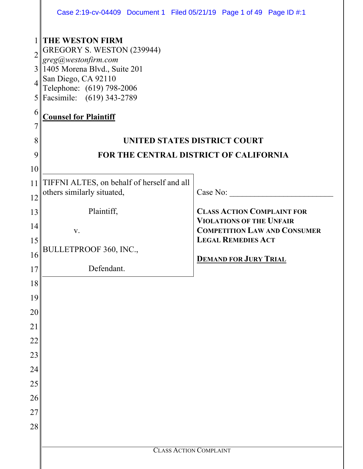|                | Case 2:19-cv-04409 Document 1 Filed 05/21/19 Page 1 of 49 Page ID #:1 |                                                                        |  |  |  |
|----------------|-----------------------------------------------------------------------|------------------------------------------------------------------------|--|--|--|
|                | THE WESTON FIRM                                                       |                                                                        |  |  |  |
| $\overline{2}$ | GREGORY S. WESTON (239944)<br>greg@westonfirm.com                     |                                                                        |  |  |  |
|                | $3$ 1405 Morena Blvd., Suite 201<br>San Diego, CA 92110               |                                                                        |  |  |  |
|                | Telephone: (619) 798-2006                                             |                                                                        |  |  |  |
|                | 5 Facsimile: (619) 343-2789                                           |                                                                        |  |  |  |
| 6<br>7         | <b>Counsel for Plaintiff</b>                                          |                                                                        |  |  |  |
| 8              |                                                                       | <b>UNITED STATES DISTRICT COURT</b>                                    |  |  |  |
| 9              |                                                                       | FOR THE CENTRAL DISTRICT OF CALIFORNIA                                 |  |  |  |
| 10             |                                                                       |                                                                        |  |  |  |
| 11             | TIFFNI ALTES, on behalf of herself and all                            |                                                                        |  |  |  |
| 12             | others similarly situated,                                            | Case No:                                                               |  |  |  |
| 13             | Plaintiff,                                                            | <b>CLASS ACTION COMPLAINT FOR</b>                                      |  |  |  |
| 14             | V.                                                                    | <b>VIOLATIONS OF THE UNFAIR</b><br><b>COMPETITION LAW AND CONSUMER</b> |  |  |  |
| 15             |                                                                       | <b>LEGAL REMEDIES ACT</b>                                              |  |  |  |
| 16             | BULLETPROOF 360, INC.,                                                | <b>DEMAND FOR JURY TRIAL</b>                                           |  |  |  |
| 17             | Defendant.                                                            |                                                                        |  |  |  |
| 18             |                                                                       |                                                                        |  |  |  |
| 19             |                                                                       |                                                                        |  |  |  |
| 20             |                                                                       |                                                                        |  |  |  |
| 21             |                                                                       |                                                                        |  |  |  |
| 22             |                                                                       |                                                                        |  |  |  |
| 23             |                                                                       |                                                                        |  |  |  |
| 24             |                                                                       |                                                                        |  |  |  |
| 25             |                                                                       |                                                                        |  |  |  |
| 26             |                                                                       |                                                                        |  |  |  |
| 27             |                                                                       |                                                                        |  |  |  |
| 28             |                                                                       |                                                                        |  |  |  |
|                | <b>CLASS ACTION COMPLAINT</b>                                         |                                                                        |  |  |  |
|                |                                                                       |                                                                        |  |  |  |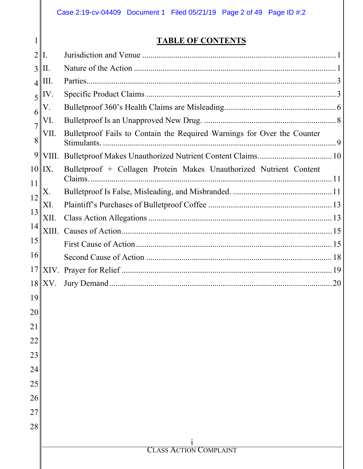1

# **TABLE OF CONTENTS**

| $\overline{2}$      | $\mathbf{I}$ . |                                                                         |
|---------------------|----------------|-------------------------------------------------------------------------|
| 3                   | II.            |                                                                         |
| $\overline{4}$      | Ш.             |                                                                         |
| 5                   | IV.            |                                                                         |
| 6                   | V.             |                                                                         |
|                     | VI.            |                                                                         |
| $\overline{7}$<br>8 | VII.           | Bulletproof Fails to Contain the Required Warnings for Over the Counter |
| 9                   | VIII.          |                                                                         |
| 10                  | IX.            | Bulletproof + Collagen Protein Makes Unauthorized Nutrient Content      |
| 11                  | Χ.             |                                                                         |
| 12                  | XI.            |                                                                         |
| 13                  | XII.           |                                                                         |
| 14                  | XIII.          |                                                                         |
| 15                  |                |                                                                         |
| 16                  |                |                                                                         |
| 17                  |                |                                                                         |
| 18                  | XV.            |                                                                         |
| 19                  |                |                                                                         |
| 20                  |                |                                                                         |
| 21                  |                |                                                                         |
| 22                  |                |                                                                         |
| 23                  |                |                                                                         |
| 24                  |                |                                                                         |
| 25                  |                |                                                                         |
| 26                  |                |                                                                         |
| 27                  |                |                                                                         |
| 28                  |                |                                                                         |
|                     |                |                                                                         |
|                     |                | 1<br><b>CLASS ACTION COMPLAINT</b>                                      |
|                     |                |                                                                         |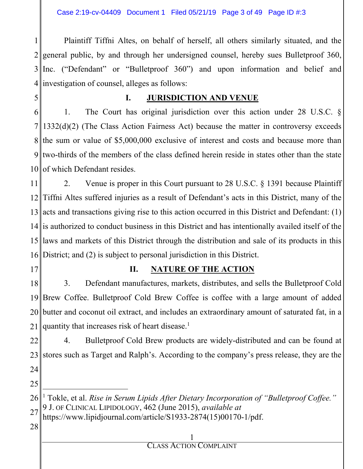Case 2:19-cv-04409 Document 1 Filed 05/21/19 Page 3 of 49 Page ID #:3

1 2 3 4 Plaintiff Tiffni Altes, on behalf of herself, all others similarly situated, and the general public, by and through her undersigned counsel, hereby sues Bulletproof 360, Inc. ("Defendant" or "Bulletproof 360") and upon information and belief and investigation of counsel, alleges as follows:

5

#### **I. JURISDICTION AND VENUE**

6 7 8 9 10 of which Defendant resides. 1. The Court has original jurisdiction over this action under 28 U.S.C. § 1332(d)(2) (The Class Action Fairness Act) because the matter in controversy exceeds the sum or value of \$5,000,000 exclusive of interest and costs and because more than two-thirds of the members of the class defined herein reside in states other than the state

11 12 13 acts and transactions giving rise to this action occurred in this District and Defendant: (1) 14 is authorized to conduct business in this District and has intentionally availed itself of the 15 16 District; and (2) is subject to personal jurisdiction in this District. 2. Venue is proper in this Court pursuant to 28 U.S.C. § 1391 because Plaintiff Tiffni Altes suffered injuries as a result of Defendant's acts in this District, many of the laws and markets of this District through the distribution and sale of its products in this

17

### **II. NATURE OF THE ACTION**

18 19 20 butter and coconut oil extract, and includes an extraordinary amount of saturated fat, in a 21 3. Defendant manufactures, markets, distributes, and sells the Bulletproof Cold Brew Coffee. Bulletproof Cold Brew Coffee is coffee with a large amount of added quantity that increases risk of heart disease.<sup>1</sup>

22 23 24 4. Bulletproof Cold Brew products are widely-distributed and can be found at stores such as Target and Ralph's. According to the company's press release, they are the

25

 $\overline{a}$ 

26 27 <sup>1</sup> Tokle, et al. *Rise in Serum Lipids After Dietary Incorporation of "Bulletproof Coffee."* 9 J. OF CLINICAL LIPIDOLOGY, 462 (June 2015), *available at* https://www.lipidjournal.com/article/S1933-2874(15)00170-1/pdf.

28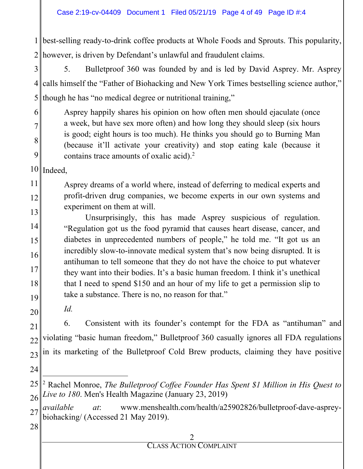1 best-selling ready-to-drink coffee products at Whole Foods and Sprouts. This popularity, 2 however, is driven by Defendant's unlawful and fraudulent claims.

3 4∥ 5 5. Bulletproof 360 was founded by and is led by David Asprey. Mr. Asprey calls himself the "Father of Biohacking and New York Times bestselling science author," though he has "no medical degree or nutritional training,"

Asprey happily shares his opinion on how often men should ejaculate (once a week, but have sex more often) and how long they should sleep (six hours is good; eight hours is too much). He thinks you should go to Burning Man (because it'll activate your creativity) and stop eating kale (because it contains trace amounts of oxalic acid).<sup>2</sup>

 $10$ ||Indeed,

6

7

8

9

11 12 13 Asprey dreams of a world where, instead of deferring to medical experts and profit-driven drug companies, we become experts in our own systems and experiment on them at will.

14 15 16 17 18 19 Unsurprisingly, this has made Asprey suspicious of regulation. "Regulation got us the food pyramid that causes heart disease, cancer, and diabetes in unprecedented numbers of people," he told me. "It got us an incredibly slow-to-innovate medical system that's now being disrupted. It is antihuman to tell someone that they do not have the choice to put whatever they want into their bodies. It's a basic human freedom. I think it's unethical that I need to spend \$150 and an hour of my life to get a permission slip to take a substance. There is no, no reason for that."

20

*Id.* 

21 22 23 6. Consistent with its founder's contempt for the FDA as "antihuman" and violating "basic human freedom," Bulletproof 360 casually ignores all FDA regulations in its marketing of the Bulletproof Cold Brew products, claiming they have positive

24

l

<sup>25</sup> 26 <sup>2</sup> Rachel Monroe, *The Bulletproof Coffee Founder Has Spent \$1 Million in His Quest to Live to 180*. Men's Health Magazine (January 23, 2019)

<sup>27</sup> *available at*: www.menshealth.com/health/a25902826/bulletproof-dave-aspreybiohacking/ (Accessed 21 May 2019).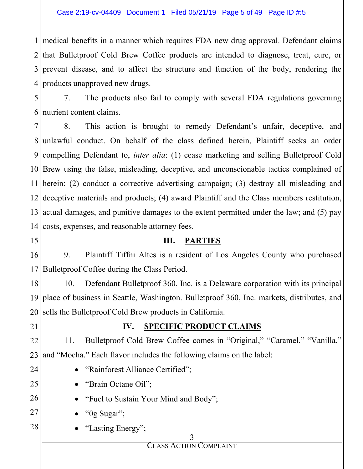medical benefits in a manner which requires FDA new drug approval. Defendant claims 2 that Bulletproof Cold Brew Coffee products are intended to diagnose, treat, cure, or prevent disease, and to affect the structure and function of the body, rendering the products unapproved new drugs.

5 6 nutrient content claims. 7. The products also fail to comply with several FDA regulations governing

7 8 9 compelling Defendant to, *inter alia*: (1) cease marketing and selling Bulletproof Cold 10 Brew using the false, misleading, deceptive, and unconscionable tactics complained of 11 herein; (2) conduct a corrective advertising campaign; (3) destroy all misleading and 12 13 actual damages, and punitive damages to the extent permitted under the law; and (5) pay 14 costs, expenses, and reasonable attorney fees. 8. This action is brought to remedy Defendant's unfair, deceptive, and unlawful conduct. On behalf of the class defined herein, Plaintiff seeks an order deceptive materials and products; (4) award Plaintiff and the Class members restitution,

15

## **III. PARTIES**

16 17 9. Plaintiff Tiffni Altes is a resident of Los Angeles County who purchased Bulletproof Coffee during the Class Period.

18 19 20 10. Defendant Bulletproof 360, Inc. is a Delaware corporation with its principal place of business in Seattle, Washington. Bulletproof 360, Inc. markets, distributes, and sells the Bulletproof Cold Brew products in California.

21

24

25

# **IV. SPECIFIC PRODUCT CLAIMS**

22 23 11. Bulletproof Cold Brew Coffee comes in "Original," "Caramel," "Vanilla," and "Mocha." Each flavor includes the following claims on the label:

- "Rainforest Alliance Certified";
	- "Brain Octane Oil";
- 26 • "Fuel to Sustain Your Mind and Body";
- 27 "0g Sugar";
- 28 "Lasting Energy";

3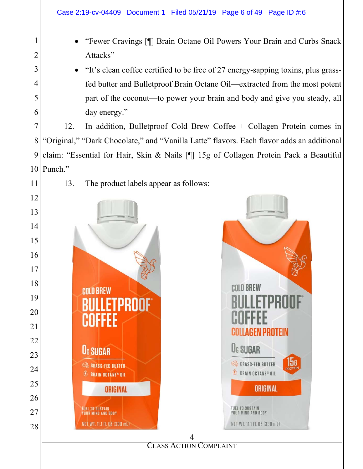- x "Fewer Cravings [¶] Brain Octane Oil Powers Your Brain and Curbs Snack Attacks"
- x "It's clean coffee certified to be free of 27 energy-sapping toxins, plus grassfed butter and Bulletproof Brain Octane Oil—extracted from the most potent part of the coconut—to power your brain and body and give you steady, all day energy."

 Punch." 12. In addition, Bulletproof Cold Brew Coffee + Collagen Protein comes in "Original," "Dark Chocolate," and "Vanilla Latte" flavors. Each flavor adds an additional claim: "Essential for Hair, Skin & Nails [¶] 15g of Collagen Protein Pack a Beautiful

13. The product labels appear as follows:



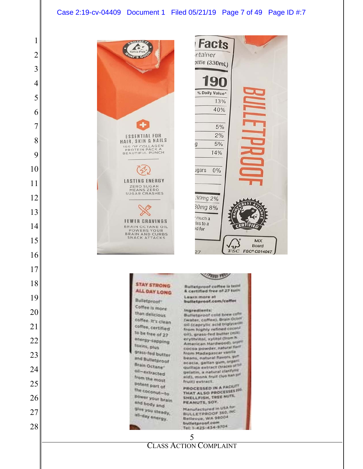#### Case 2:19-cv-04409 Document 1 Filed 05/21/19 Page 7 of 49 Page ID #:7

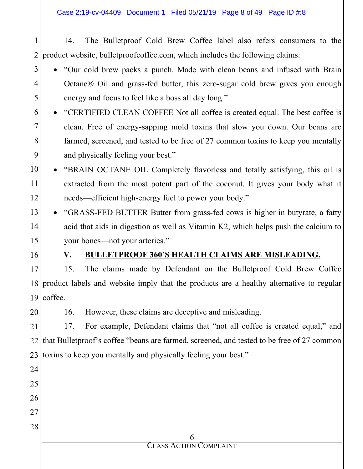Case 2:19-cv-04409 Document 1 Filed 05/21/19 Page 8 of 49 Page ID #:8

1 2 14. The Bulletproof Cold Brew Coffee label also refers consumers to the product website, bulletproofcoffee.com, which includes the following claims:

- 3 4 5 • "Our cold brew packs a punch. Made with clean beans and infused with Brain Octane® Oil and grass-fed butter, this zero-sugar cold brew gives you enough energy and focus to feel like a boss all day long."
- 6 7 8 9 • "CERTIFIED CLEAN COFFEE Not all coffee is created equal. The best coffee is clean. Free of energy-sapping mold toxins that slow you down. Our beans are farmed, screened, and tested to be free of 27 common toxins to keep you mentally and physically feeling your best."
- 10 11 12 • "BRAIN OCTANE OIL Completely flavorless and totally satisfying, this oil is extracted from the most potent part of the coconut. It gives your body what it needs—efficient high-energy fuel to power your body."
- 13 14 15 x "GRASS-FED BUTTER Butter from grass-fed cows is higher in butyrate, a fatty acid that aids in digestion as well as Vitamin K2, which helps push the calcium to your bones—not your arteries."
- 16

# **V. BULLETPROOF 360'S HEALTH CLAIMS ARE MISLEADING.**

17 18 19 15. The claims made by Defendant on the Bulletproof Cold Brew Coffee product labels and website imply that the products are a healthy alternative to regular coffee.

20 16. However, these claims are deceptive and misleading.

21 22 23 toxins to keep you mentally and physically feeling your best." 17. For example, Defendant claims that "not all coffee is created equal," and that Bulletproof's coffee "beans are farmed, screened, and tested to be free of 27 common

| 24 |                               |
|----|-------------------------------|
| 25 |                               |
| 26 |                               |
| 27 |                               |
| 28 |                               |
|    |                               |
|    | <b>CLASS ACTION COMPLAINT</b> |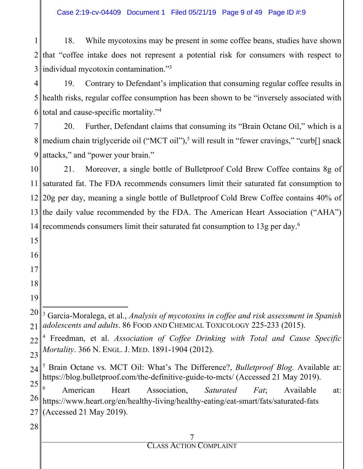Case 2:19-cv-04409 Document 1 Filed 05/21/19 Page 9 of 49 Page ID #:9

1 2 that "coffee intake does not represent a potential risk for consumers with respect to 3 18. While mycotoxins may be present in some coffee beans, studies have shown individual mycotoxin contamination."3

4 5 health risks, regular coffee consumption has been shown to be "inversely associated with 6 total and cause-specific mortality."<sup>4</sup> 19. Contrary to Defendant's implication that consuming regular coffee results in

7 8 9 20. Further, Defendant claims that consuming its "Brain Octane Oil," which is a medium chain triglyceride oil ("MCT oil"),<sup>5</sup> will result in "fewer cravings," "curb<sup>[]</sup> snack attacks," and "power your brain."

10 11 saturated fat. The FDA recommends consumers limit their saturated fat consumption to 12 20g per day, meaning a single bottle of Bulletproof Cold Brew Coffee contains 40% of 13 the daily value recommended by the FDA. The American Heart Association ("AHA") 14 recommends consumers limit their saturated fat consumption to 13g per day.<sup>6</sup> 21. Moreover, a single bottle of Bulletproof Cold Brew Coffee contains 8g of

7 CLASS ACTION COMPLAINT 15 16 17 18 19 20 21 22 23 24 25 26 27 28  $\overline{a}$ 3 Garcia-Moralega, et al., *Analysis of mycotoxins in coffee and risk assessment in Spanish adolescents and adults*. 86 FOOD AND CHEMICAL TOXICOLOGY 225-233 (2015). 4 Freedman, et al. *Association of Coffee Drinking with Total and Cause Specific Mortality*. 366 N. ENGL. J. MED. 1891-1904 (2012). 5 Brain Octane vs. MCT Oil: What's The Difference?, *Bulletproof Blog.* Available at: https://blog.bulletproof.com/the-definitive-guide-to-mcts/ (Accessed 21 May 2019). 6 American Heart Association, *Saturated Fat*; Available at: https://www.heart.org/en/healthy-living/healthy-eating/eat-smart/fats/saturated-fats (Accessed 21 May 2019).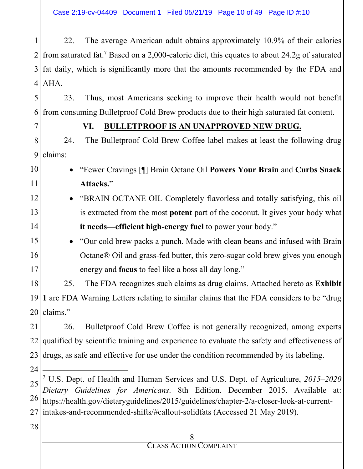Case 2:19-cv-04409 Document 1 Filed 05/21/19 Page 10 of 49 Page ID #:10

1 2 3 4 AHA. 22. The average American adult obtains approximately 10.9% of their calories from saturated fat.<sup>7</sup> Based on a 2,000-calorie diet, this equates to about 24.2g of saturated fat daily, which is significantly more that the amounts recommended by the FDA and

5 6 23. Thus, most Americans seeking to improve their health would not benefit from consuming Bulletproof Cold Brew products due to their high saturated fat content.

7

### **VI. BULLETPROOF IS AN UNAPPROVED NEW DRUG.**

8 9 24. The Bulletproof Cold Brew Coffee label makes at least the following drug claims:

- 10 11 x "Fewer Cravings [¶] Brain Octane Oil **Powers Your Brain** and **Curbs Snack Attacks.**"
- 12 13 14 **EXAIN OCTANE OIL Completely flavorless and totally satisfying, this oil** is extracted from the most **potent** part of the coconut. It gives your body what **it needs—efficient high-energy fuel** to power your body."
- 15 16 17 x "Our cold brew packs a punch. Made with clean beans and infused with Brain Octane® Oil and grass-fed butter, this zero-sugar cold brew gives you enough energy and **focus** to feel like a boss all day long."

18 19<sup>1</sup> 1 are FDA Warning Letters relating to similar claims that the FDA considers to be "drug" 20 25. The FDA recognizes such claims as drug claims. Attached hereto as **Exhibit**  claims."

21 22 23 26. Bulletproof Cold Brew Coffee is not generally recognized, among experts qualified by scientific training and experience to evaluate the safety and effectiveness of drugs, as safe and effective for use under the condition recommended by its labeling.

24

-

25 26 27 intakes-and-recommended-shifts/#callout-solidfats (Accessed 21 May 2019). 7 U.S. Dept. of Health and Human Services and U.S. Dept. of Agriculture, *2015–2020 Dietary Guidelines for Americans*. 8th Edition. December 2015. Available at: https://health.gov/dietaryguidelines/2015/guidelines/chapter-2/a-closer-look-at-current-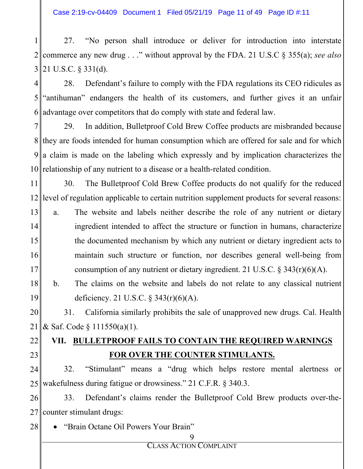Case 2:19-cv-04409 Document 1 Filed 05/21/19 Page 11 of 49 Page ID #:11

1 2 3 27. "No person shall introduce or deliver for introduction into interstate commerce any new drug . . ." without approval by the FDA. 21 U.S.C § 355(a); *see also* 21 U.S.C. § 331(d).

4 5 6 28. Defendant's failure to comply with the FDA regulations its CEO ridicules as "antihuman" endangers the health of its customers, and further gives it an unfair advantage over competitors that do comply with state and federal law.

7 8 9 10 relationship of any nutrient to a disease or a health-related condition. 29. In addition, Bulletproof Cold Brew Coffee products are misbranded because they are foods intended for human consumption which are offered for sale and for which a claim is made on the labeling which expressly and by implication characterizes the

11 12 30. The Bulletproof Cold Brew Coffee products do not qualify for the reduced level of regulation applicable to certain nutrition supplement products for several reasons:

13 14 15 16 17 a. The website and labels neither describe the role of any nutrient or dietary ingredient intended to affect the structure or function in humans, characterize the documented mechanism by which any nutrient or dietary ingredient acts to maintain such structure or function, nor describes general well-being from consumption of any nutrient or dietary ingredient. 21 U.S.C.  $\S 343(r)(6)(A)$ .

18 19 b. The claims on the website and labels do not relate to any classical nutrient deficiency. 21 U.S.C. § 343(r)(6)(A).

20 21 31. California similarly prohibits the sale of unapproved new drugs. Cal. Health & Saf. Code § 111550(a)(1).

#### 22 23 **VII. BULLETPROOF FAILS TO CONTAIN THE REQUIRED WARNINGS FOR OVER THE COUNTER STIMULANTS.**

24 25 32. "Stimulant" means a "drug which helps restore mental alertness or wakefulness during fatigue or drowsiness." 21 C.F.R. § 340.3.

26 27 33. Defendant's claims render the Bulletproof Cold Brew products over-thecounter stimulant drugs:

28 "Brain Octane Oil Powers Your Brain"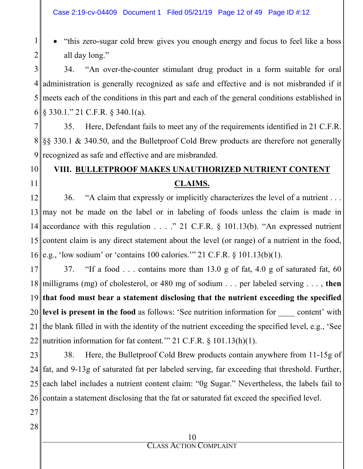x "this zero-sugar cold brew gives you enough energy and focus to feel like a boss all day long."

3 4 administration is generally recognized as safe and effective and is not misbranded if it 5 meets each of the conditions in this part and each of the general conditions established in 6 34. "An over-the-counter stimulant drug product in a form suitable for oral  $\frac{1}{2}$  \$ 330.1." 21 C.F.R. § 340.1(a).

7 8 9 35. Here, Defendant fails to meet any of the requirements identified in 21 C.F.R. §§ 330.1 & 340.50, and the Bulletproof Cold Brew products are therefore not generally recognized as safe and effective and are misbranded.

#### 10 11 **VIII. BULLETPROOF MAKES UNAUTHORIZED NUTRIENT CONTENT CLAIMS.**

12 13 may not be made on the label or in labeling of foods unless the claim is made in 14 15 16 e.g., 'low sodium' or 'contains 100 calories.'" 21 C.F.R. § 101.13(b)(1). 36. "A claim that expressly or implicitly characterizes the level of a nutrient . . . accordance with this regulation . . . ." 21 C.F.R. § 101.13(b). "An expressed nutrient content claim is any direct statement about the level (or range) of a nutrient in the food,

17 18 milligrams (mg) of cholesterol, or 480 mg of sodium . . . per labeled serving . . . , **then**  19 20 **level is present in the food** as follows: 'See nutrition information for \_\_\_\_ content' with 21 22 37. "If a food . . . contains more than 13.0 g of fat, 4.0 g of saturated fat, 60 **that food must bear a statement disclosing that the nutrient exceeding the specified**  the blank filled in with the identity of the nutrient exceeding the specified level, e.g., 'See nutrition information for fat content." 21 C.F.R. § 101.13(h)(1).

23 24 25 26 contain a statement disclosing that the fat or saturated fat exceed the specified level. 38. Here, the Bulletproof Cold Brew products contain anywhere from 11-15g of fat, and 9-13g of saturated fat per labeled serving, far exceeding that threshold. Further, each label includes a nutrient content claim: "0g Sugar." Nevertheless, the labels fail to

27

1

2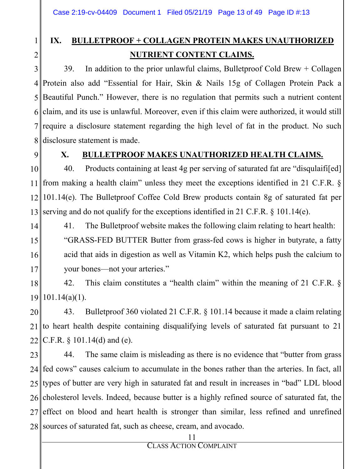# **IX. BULLETPROOF + COLLAGEN PROTEIN MAKES UNAUTHORIZED NUTRIENT CONTENT CLAIMS.**

3 4 5 6 7 8 39. In addition to the prior unlawful claims, Bulletproof Cold Brew + Collagen Protein also add "Essential for Hair, Skin & Nails 15g of Collagen Protein Pack a Beautiful Punch." However, there is no regulation that permits such a nutrient content claim, and its use is unlawful. Moreover, even if this claim were authorized, it would still require a disclosure statement regarding the high level of fat in the product. No such disclosure statement is made.

9

1

2

### **X. BULLETPROOF MAKES UNAUTHORIZED HEALTH CLAIMS.**

10 11 12 13 40. Products containing at least 4g per serving of saturated fat are "disqulaifi[ed] from making a health claim" unless they meet the exceptions identified in 21 C.F.R. § 101.14(e). The Bulletproof Coffee Cold Brew products contain 8g of saturated fat per serving and do not qualify for the exceptions identified in 21 C.F.R. § 101.14(e).

14 15 16 17 41. The Bulletproof website makes the following claim relating to heart health: "GRASS-FED BUTTER Butter from grass-fed cows is higher in butyrate, a fatty acid that aids in digestion as well as Vitamin K2, which helps push the calcium to your bones—not your arteries."

18 19 101.14(a)(1). 42. This claim constitutes a "health claim" within the meaning of 21 C.F.R. §

20  $211$ 22 43. Bulletproof 360 violated 21 C.F.R. § 101.14 because it made a claim relating to heart health despite containing disqualifying levels of saturated fat pursuant to 21 C.F.R. § 101.14(d) and (e).

23 24 25 26 27 28 44. The same claim is misleading as there is no evidence that "butter from grass fed cows" causes calcium to accumulate in the bones rather than the arteries. In fact, all types of butter are very high in saturated fat and result in increases in "bad" LDL blood cholesterol levels. Indeed, because butter is a highly refined source of saturated fat, the effect on blood and heart health is stronger than similar, less refined and unrefined sources of saturated fat, such as cheese, cream, and avocado.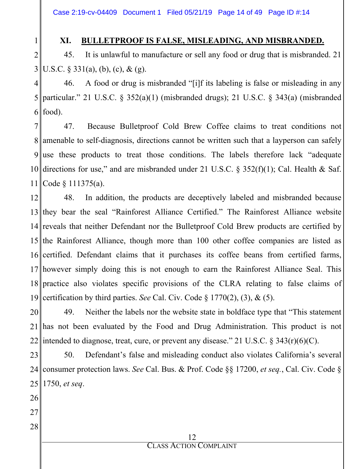Case 2:19-cv-04409 Document 1 Filed 05/21/19 Page 14 of 49 Page ID #:14

## **XI. BULLETPROOF IS FALSE, MISLEADING, AND MISBRANDED.**

2 3 45. It is unlawful to manufacture or sell any food or drug that is misbranded. 21 U.S.C.  $\S 331(a)$ , (b), (c), & (g).

4 5 6 46. A food or drug is misbranded "[i]f its labeling is false or misleading in any particular." 21 U.S.C. § 352(a)(1) (misbranded drugs); 21 U.S.C. § 343(a) (misbranded food).

7 8 9 10 directions for use," and are misbranded under 21 U.S.C. § 352(f)(1); Cal. Health & Saf. 11 47. Because Bulletproof Cold Brew Coffee claims to treat conditions not amenable to self-diagnosis, directions cannot be written such that a layperson can safely use these products to treat those conditions. The labels therefore lack "adequate Code § 111375(a).

12 13 they bear the seal "Rainforest Alliance Certified." The Rainforest Alliance website 14 reveals that neither Defendant nor the Bulletproof Cold Brew products are certified by 15 the Rainforest Alliance, though more than 100 other coffee companies are listed as 16 certified. Defendant claims that it purchases its coffee beans from certified farms, 17 however simply doing this is not enough to earn the Rainforest Alliance Seal. This 18 practice also violates specific provisions of the CLRA relating to false claims of 19 certification by third parties. *See* Cal. Civ. Code § 1770(2), (3), & (5). 48. In addition, the products are deceptively labeled and misbranded because

20 21 22 49. Neither the labels nor the website state in boldface type that "This statement has not been evaluated by the Food and Drug Administration. This product is not intended to diagnose, treat, cure, or prevent any disease." 21 U.S.C. § 343(r)(6)(C).

23 24 25 50. Defendant's false and misleading conduct also violates California's several consumer protection laws. *See* Cal. Bus. & Prof. Code §§ 17200, *et seq.*, Cal. Civ. Code § 1750, *et seq*.

26

1

- 27
- 28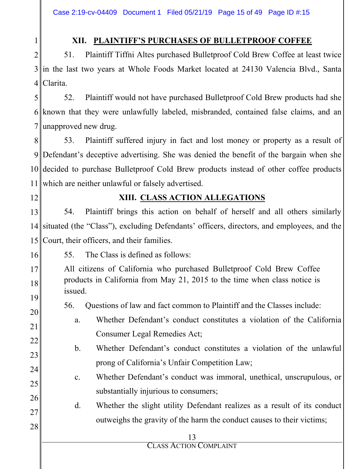## **XII. PLAINTIFF'S PURCHASES OF BULLETPROOF COFFEE**

2 3 in the last two years at Whole Foods Market located at 24130 Valencia Blvd., Santa 4 Clarita. 51. Plaintiff Tiffni Altes purchased Bulletproof Cold Brew Coffee at least twice

5 6 known that they were unlawfully labeled, misbranded, contained false claims, and an 7 52. Plaintiff would not have purchased Bulletproof Cold Brew products had she unapproved new drug.

8 9 Defendant's deceptive advertising. She was denied the benefit of the bargain when she 10 decided to purchase Bulletproof Cold Brew products instead of other coffee products 11 53. Plaintiff suffered injury in fact and lost money or property as a result of which are neither unlawful or falsely advertised.

12

25

1

# **XIII. CLASS ACTION ALLEGATIONS**

13 14 15 54. Plaintiff brings this action on behalf of herself and all others similarly situated (the "Class"), excluding Defendants' officers, directors, and employees, and the Court, their officers, and their families.

- 16 55. The Class is defined as follows:
- 17 18 19 All citizens of California who purchased Bulletproof Cold Brew Coffee products in California from May 21, 2015 to the time when class notice is issued.
	- 56. Questions of law and fact common to Plaintiff and the Classes include:
- 20 21 22 a. Whether Defendant's conduct constitutes a violation of the California Consumer Legal Remedies Act;
- 23 24 b. Whether Defendant's conduct constitutes a violation of the unlawful prong of California's Unfair Competition Law;
	- c. Whether Defendant's conduct was immoral, unethical, unscrupulous, or substantially injurious to consumers;
- 26 27 28 d. Whether the slight utility Defendant realizes as a result of its conduct outweighs the gravity of the harm the conduct causes to their victims;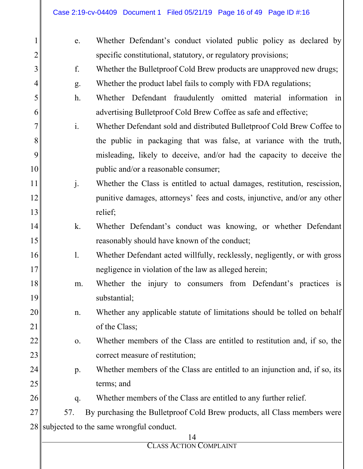| e.             | Whether Defendant's conduct violated public policy as declared by          |
|----------------|----------------------------------------------------------------------------|
|                | specific constitutional, statutory, or regulatory provisions;              |
| f.             | Whether the Bulletproof Cold Brew products are unapproved new drugs;       |
| g.             | Whether the product label fails to comply with FDA regulations;            |
| $h$ .          | Whether Defendant fraudulently omitted material information in             |
|                | advertising Bulletproof Cold Brew Coffee as safe and effective;            |
| $\mathbf{i}$ . | Whether Defendant sold and distributed Bulletproof Cold Brew Coffee to     |
|                | the public in packaging that was false, at variance with the truth,        |
|                | misleading, likely to deceive, and/or had the capacity to deceive the      |
|                | public and/or a reasonable consumer;                                       |
| j.             | Whether the Class is entitled to actual damages, restitution, rescission,  |
|                | punitive damages, attorneys' fees and costs, injunctive, and/or any other  |
|                | relief;                                                                    |
| k.             | Whether Defendant's conduct was knowing, or whether Defendant              |
|                | reasonably should have known of the conduct;                               |
| $\mathbf{1}$ . | Whether Defendant acted willfully, recklessly, negligently, or with gross  |
|                | negligence in violation of the law as alleged herein;                      |
| m.             | Whether the injury to consumers from Defendant's practices is              |
|                | substantial;                                                               |
| n.             | Whether any applicable statute of limitations should be tolled on behalf   |
|                | of the Class;                                                              |
| 0.             | Whether members of the Class are entitled to restitution and, if so, the   |
|                | correct measure of restitution;                                            |
| p.             | Whether members of the Class are entitled to an injunction and, if so, its |
|                | terms; and                                                                 |
| q.             | Whether members of the Class are entitled to any further relief.           |
| 57.            | By purchasing the Bullet proof Cold Brew products, all Class members were  |
|                | subjected to the same wrongful conduct.                                    |
|                | 14<br>CLASS ACTION COMPLAINT                                               |
|                | 10<br>18<br>19                                                             |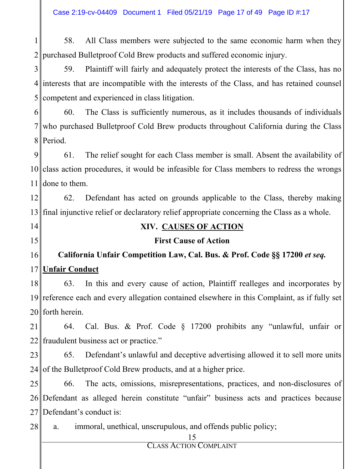Case 2:19-cv-04409 Document 1 Filed 05/21/19 Page 17 of 49 Page ID #:17

1 2 58. All Class members were subjected to the same economic harm when they purchased Bulletproof Cold Brew products and suffered economic injury.

3 4 interests that are incompatible with the interests of the Class, and has retained counsel 5 59. Plaintiff will fairly and adequately protect the interests of the Class, has no competent and experienced in class litigation.

6 7 8 60. The Class is sufficiently numerous, as it includes thousands of individuals who purchased Bulletproof Cold Brew products throughout California during the Class Period.

9 10 class action procedures, it would be infeasible for Class members to redress the wrongs 11 61. The relief sought for each Class member is small. Absent the availability of done to them.

12 13 final injunctive relief or declaratory relief appropriate concerning the Class as a whole. 62. Defendant has acted on grounds applicable to the Class, thereby making

14

15

## **XIV. CAUSES OF ACTION**

### **First Cause of Action**

#### 16 17 **California Unfair Competition Law, Cal. Bus. & Prof. Code §§ 17200** *et seq.* **Unfair Conduct**

18 19 20 forth herein. 63. In this and every cause of action, Plaintiff realleges and incorporates by reference each and every allegation contained elsewhere in this Complaint, as if fully set

21 22 64. Cal. Bus. & Prof. Code § 17200 prohibits any "unlawful, unfair or fraudulent business act or practice."

23 24 65. Defendant's unlawful and deceptive advertising allowed it to sell more units of the Bulletproof Cold Brew products, and at a higher price.

25 26 Defendant as alleged herein constitute "unfair" business acts and practices because 27 Defendant's conduct is: 66. The acts, omissions, misrepresentations, practices, and non-disclosures of

28 a. immoral, unethical, unscrupulous, and offends public policy;

15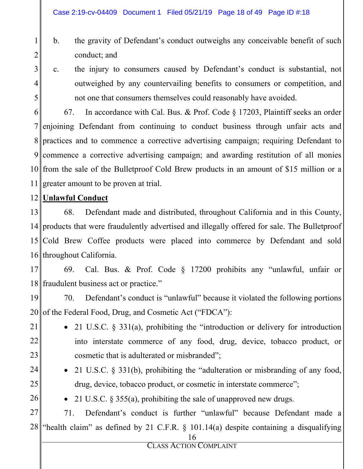- b. the gravity of Defendant's conduct outweighs any conceivable benefit of such conduct; and
- 3 4

5

1

2

c. the injury to consumers caused by Defendant's conduct is substantial, not outweighed by any countervailing benefits to consumers or competition, and not one that consumers themselves could reasonably have avoided.

6 7 8 9 commence a corrective advertising campaign; and awarding restitution of all monies 10 from the sale of the Bulletproof Cold Brew products in an amount of \$15 million or a 11 67. In accordance with Cal. Bus. & Prof. Code § 17203, Plaintiff seeks an order enjoining Defendant from continuing to conduct business through unfair acts and practices and to commence a corrective advertising campaign; requiring Defendant to greater amount to be proven at trial.

## 12 **Unlawful Conduct**

13 14 products that were fraudulently advertised and illegally offered for sale. The Bulletproof 15 16 throughout California. 68. Defendant made and distributed, throughout California and in this County, Cold Brew Coffee products were placed into commerce by Defendant and sold

17 18 fraudulent business act or practice." 69. Cal. Bus. & Prof. Code § 17200 prohibits any "unlawful, unfair or

19 20 of the Federal Food, Drug, and Cosmetic Act ("FDCA"): 70. Defendant's conduct is "unlawful" because it violated the following portions

- 21 22
- 21 U.S.C.  $\S$  331(a), prohibiting the "introduction or delivery for introduction into interstate commerce of any food, drug, device, tobacco product, or cosmetic that is adulterated or misbranded";
- 24

23

- 21 U.S.C. § 331(b), prohibiting the "adulteration or misbranding of any food, drug, device, tobacco product, or cosmetic in interstate commerce";
- 26

25

• 21 U.S.C.  $\S 355(a)$ , prohibiting the sale of unapproved new drugs.

27 28 71. Defendant's conduct is further "unlawful" because Defendant made a "health claim" as defined by 21 C.F.R. § 101.14(a) despite containing a disqualifying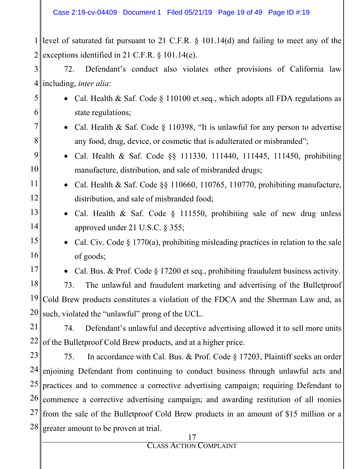1 level of saturated fat pursuant to 21 C.F.R. § 101.14(d) and failing to meet any of the 2 exceptions identified in 21 C.F.R. § 101.14(e).

3  $4\|$ 72. Defendant's conduct also violates other provisions of California law including, *inter alia*:

- 5 6 7 • Cal. Health & Saf. Code § 110100 et seq., which adopts all FDA regulations as state regulations; • Cal. Health & Saf. Code  $\S$  110398, "It is unlawful for any person to advertise
	- any food, drug, device, or cosmetic that is adulterated or misbranded";
	- Cal. Health & Saf. Code §§ 111330, 111440, 111445, 111450, prohibiting manufacture, distribution, and sale of misbranded drugs;
		- Cal. Health & Saf. Code  $\S$ § 110660, 110765, 110770, prohibiting manufacture, distribution, and sale of misbranded food;
	- Cal. Health & Saf. Code § 111550, prohibiting sale of new drug unless approved under 21 U.S.C. § 355;
- 15 16 • Cal. Civ. Code § 1770(a), prohibiting misleading practices in relation to the sale of goods;
- 17

8

9

10

11

12

13

14

• Cal. Bus. & Prof. Code  $\S 17200$  et seq., prohibiting fraudulent business activity.

18 19 20 73. The unlawful and fraudulent marketing and advertising of the Bulletproof Cold Brew products constitutes a violation of the FDCA and the Sherman Law and, as such, violated the "unlawful" prong of the UCL.

21 22 74. Defendant's unlawful and deceptive advertising allowed it to sell more units of the Bulletproof Cold Brew products, and at a higher price.

23 24 25 26 27 28 75. In accordance with Cal. Bus. & Prof. Code § 17203, Plaintiff seeks an order enjoining Defendant from continuing to conduct business through unlawful acts and practices and to commence a corrective advertising campaign; requiring Defendant to commence a corrective advertising campaign; and awarding restitution of all monies from the sale of the Bulletproof Cold Brew products in an amount of \$15 million or a greater amount to be proven at trial.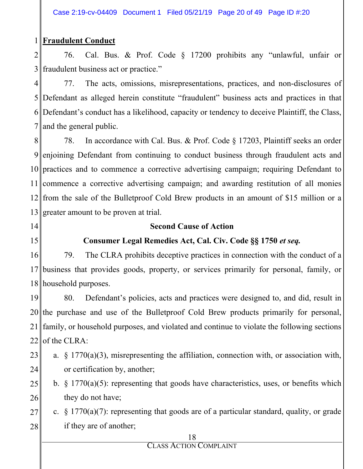#### 1 **Fraudulent Conduct**

2 3 76. Cal. Bus. & Prof. Code § 17200 prohibits any "unlawful, unfair or fraudulent business act or practice."

4 5 Defendant as alleged herein constitute "fraudulent" business acts and practices in that 6 Defendant's conduct has a likelihood, capacity or tendency to deceive Plaintiff, the Class, 7 77. The acts, omissions, misrepresentations, practices, and non-disclosures of and the general public.

8 9 enjoining Defendant from continuing to conduct business through fraudulent acts and 10 practices and to commence a corrective advertising campaign; requiring Defendant to 11 commence a corrective advertising campaign; and awarding restitution of all monies 12 from the sale of the Bulletproof Cold Brew products in an amount of \$15 million or a 13 greater amount to be proven at trial. 78. In accordance with Cal. Bus. & Prof. Code § 17203, Plaintiff seeks an order

- 14
- 15

### **Second Cause of Action**

## **Consumer Legal Remedies Act, Cal. Civ. Code §§ 1750** *et seq.*

16 17 18 household purposes. 79. The CLRA prohibits deceptive practices in connection with the conduct of a business that provides goods, property, or services primarily for personal, family, or

19 20 the purchase and use of the Bulletproof Cold Brew products primarily for personal, 21 22 80. Defendant's policies, acts and practices were designed to, and did, result in family, or household purposes, and violated and continue to violate the following sections of the CLRA:

- 23 24 a. § 1770(a)(3), misrepresenting the affiliation, connection with, or association with, or certification by, another;
- 25 26 b.  $\S$  1770(a)(5): representing that goods have characteristics, uses, or benefits which they do not have;
- 27 28 c.  $\S$  1770(a)(7): representing that goods are of a particular standard, quality, or grade if they are of another;

#### 18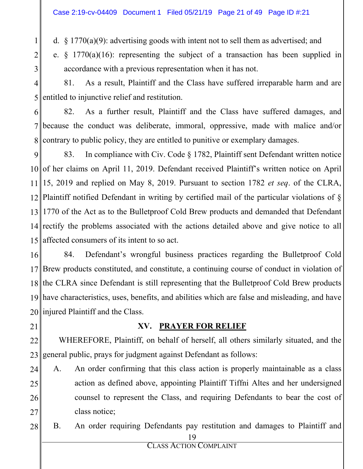d. § 1770(a)(9): advertising goods with intent not to sell them as advertised; and

e. § 1770(a)(16): representing the subject of a transaction has been supplied in accordance with a previous representation when it has not.

4 5 81. As a result, Plaintiff and the Class have suffered irreparable harm and are entitled to injunctive relief and restitution.

6 7 8 82. As a further result, Plaintiff and the Class have suffered damages, and because the conduct was deliberate, immoral, oppressive, made with malice and/or contrary to public policy, they are entitled to punitive or exemplary damages.

9 10 of her claims on April 11, 2019. Defendant received Plaintiff's written notice on April 11 15, 2019 and replied on May 8, 2019. Pursuant to section 1782 *et seq*. of the CLRA, 12 13 1770 of the Act as to the Bulletproof Cold Brew products and demanded that Defendant 14 rectify the problems associated with the actions detailed above and give notice to all 15 83. In compliance with Civ. Code § 1782, Plaintiff sent Defendant written notice Plaintiff notified Defendant in writing by certified mail of the particular violations of § affected consumers of its intent to so act.

16 17 Brew products constituted, and constitute, a continuing course of conduct in violation of 18 19 20 injured Plaintiff and the Class. 84. Defendant's wrongful business practices regarding the Bulletproof Cold the CLRA since Defendant is still representing that the Bulletproof Cold Brew products have characteristics, uses, benefits, and abilities which are false and misleading, and have

21

1

2

3

## **XV. PRAYER FOR RELIEF**

22 23 WHEREFORE, Plaintiff, on behalf of herself, all others similarly situated, and the general public, prays for judgment against Defendant as follows:

- 24 25 26 27 A. An order confirming that this class action is properly maintainable as a class action as defined above, appointing Plaintiff Tiffni Altes and her undersigned counsel to represent the Class, and requiring Defendants to bear the cost of class notice;
- 19 28 B. An order requiring Defendants pay restitution and damages to Plaintiff and